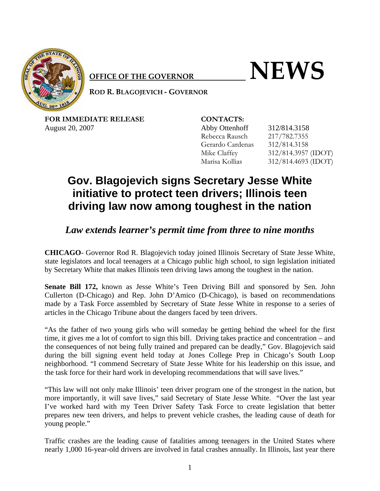

## $\bullet$  **NEWS**

**ROD R. BLAGOJEVICH ‐ GOVERNOR**

FOR IMMEDIATE RELEASE **CONTACTS:** August 20, 2007 Abby Ottenhoff 312/814.3158

Rebecca Rausch 217/782.7355 Gerardo Cardenas 312/814.3158 Mike Claffey 312/814.3957 (IDOT) Marisa Kollias 312/814.4693 (IDOT)

## **Gov. Blagojevich signs Secretary Jesse White initiative to protect teen drivers; Illinois teen driving law now among toughest in the nation**

## *Law extends learner's permit time from three to nine months*

**CHICAGO**- Governor Rod R. Blagojevich today joined Illinois Secretary of State Jesse White, state legislators and local teenagers at a Chicago public high school, to sign legislation initiated by Secretary White that makes Illinois teen driving laws among the toughest in the nation.

**Senate Bill 172,** known as Jesse White's Teen Driving Bill and sponsored by Sen. John Cullerton (D-Chicago) and Rep. John D'Amico (D-Chicago), is based on recommendations made by a Task Force assembled by Secretary of State Jesse White in response to a series of articles in the Chicago Tribune about the dangers faced by teen drivers.

"As the father of two young girls who will someday be getting behind the wheel for the first time, it gives me a lot of comfort to sign this bill. Driving takes practice and concentration – and the consequences of not being fully trained and prepared can be deadly," Gov. Blagojevich said during the bill signing event held today at Jones College Prep in Chicago's South Loop neighborhood. "I commend Secretary of State Jesse White for his leadership on this issue, and the task force for their hard work in developing recommendations that will save lives."

"This law will not only make Illinois' teen driver program one of the strongest in the nation, but more importantly, it will save lives," said Secretary of State Jesse White. "Over the last year I've worked hard with my Teen Driver Safety Task Force to create legislation that better prepares new teen drivers, and helps to prevent vehicle crashes, the leading cause of death for young people."

Traffic crashes are the leading cause of fatalities among teenagers in the United States where nearly 1,000 16-year-old drivers are involved in fatal crashes annually. In Illinois, last year there